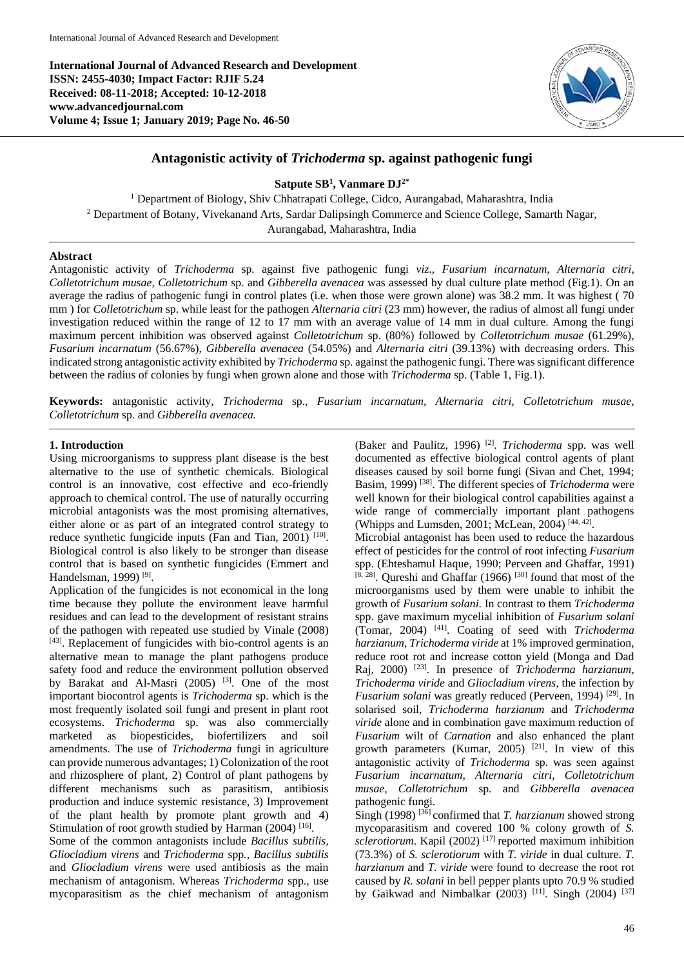**International Journal of Advanced Research and Development ISSN: 2455-4030; Impact Factor: RJIF 5.24 Received: 08-11-2018; Accepted: 10-12-2018 www.advancedjournal.com Volume 4; Issue 1; January 2019; Page No. 46-50**



# **Antagonistic activity of** *Trichoderma* **sp. against pathogenic fungi**

**Satpute SB<sup>1</sup> , Vanmare DJ2\***

<sup>1</sup> Department of Biology, Shiv Chhatrapati College, Cidco, Aurangabad, Maharashtra, India <sup>2</sup> Department of Botany, Vivekanand Arts, Sardar Dalipsingh Commerce and Science College, Samarth Nagar, Aurangabad, Maharashtra, India

## **Abstract**

Antagonistic activity of *Trichoderma* sp. against five pathogenic fungi *viz*., *Fusarium incarnatum, Alternaria citri, Colletotrichum musae, Colletotrichum* sp. and *Gibberella avenacea* was assessed by dual culture plate method (Fig.1). On an average the radius of pathogenic fungi in control plates (i.e. when those were grown alone) was 38.2 mm. It was highest ( 70 mm ) for *Colletotrichum* sp. while least for the pathogen *Alternaria citri* (23 mm) however, the radius of almost all fungi under investigation reduced within the range of 12 to 17 mm with an average value of 14 mm in dual culture. Among the fungi maximum percent inhibition was observed against *Colletotrichum* sp. (80%) followed by *Colletotrichum musae* (61.29%)*, Fusarium incarnatum* (56.67%), *Gibberella avenacea* (54.05%) and *Alternaria citri* (39.13%) with decreasing orders. This indicated strong antagonistic activity exhibited by *Trichoderma* sp. against the pathogenic fungi. There was significant difference between the radius of colonies by fungi when grown alone and those with *Trichoderma* sp. (Table 1, Fig.1).

**Keywords:** antagonistic activity, *Trichoderma* sp., *Fusarium incarnatum, Alternaria citri, Colletotrichum musae, Colletotrichum* sp. and *Gibberella avenacea.*

## **1. Introduction**

Using microorganisms to suppress plant disease is the best alternative to the use of synthetic chemicals. Biological control is an innovative, cost effective and eco-friendly approach to chemical control. The use of naturally occurring microbial antagonists was the most promising alternatives, either alone or as part of an integrated control strategy to reduce synthetic fungicide inputs (Fan and Tian, 2001)<sup>[10]</sup>. Biological control is also likely to be stronger than disease control that is based on synthetic fungicides (Emmert and Handelsman, 1999)<sup>[9]</sup>.

Application of the fungicides is not economical in the long time because they pollute the environment leave harmful residues and can lead to the development of resistant strains of the pathogen with repeated use studied by Vinale (2008) [43]. Replacement of fungicides with bio-control agents is an alternative mean to manage the plant pathogens produce safety food and reduce the environment pollution observed by Barakat and Al-Masri  $(2005)$  <sup>[3]</sup>. One of the most important biocontrol agents is *Trichoderma* sp. which is the most frequently isolated soil fungi and present in plant root ecosystems. *Trichoderma* sp. was also commercially marketed as biopesticides, biofertilizers and soil amendments. The use of *Trichoderma* fungi in agriculture can provide numerous advantages; 1) Colonization of the root and rhizosphere of plant, 2) Control of plant pathogens by different mechanisms such as parasitism, antibiosis production and induce systemic resistance, 3) Improvement of the plant health by promote plant growth and 4) Stimulation of root growth studied by Harman (2004)<sup>[16]</sup>.

Some of the common antagonists include *Bacillus subtilis, Gliocladium virens* and *Trichoderma* spp*., Bacillus subtilis* and *Gliocladium virens* were used antibiosis as the main mechanism of antagonism. Whereas *Trichoderma* spp., use mycoparasitism as the chief mechanism of antagonism

(Baker and Paulitz, 1996) [2] . *Trichoderma* spp. was well documented as effective biological control agents of plant diseases caused by soil borne fungi (Sivan and Chet, 1994; Basim, 1999) [38]. The different species of *Trichoderma* were well known for their biological control capabilities against a wide range of commercially important plant pathogens (Whipps and Lumsden, 2001; McLean, 2004)<sup>[44, 42]</sup>.

Microbial antagonist has been used to reduce the hazardous effect of pesticides for the control of root infecting *Fusarium*  spp. (Ehteshamul Haque, 1990; Perveen and Ghaffar, 1991)  $[8, 28]$ . Qureshi and Ghaffar (1966) <sup>[30]</sup> found that most of the microorganisms used by them were unable to inhibit the growth of *Fusarium solani*. In contrast to them *Trichoderma* spp. gave maximum mycelial inhibition of *Fusarium solani* (Tomar, 2004) [41]. Coating of seed with *Trichoderma harzianum, Trichoderma viride* at 1% improved germination, reduce root rot and increase cotton yield (Monga and Dad Raj, 2000) [23]. In presence of *Trichoderma harzianum, Trichoderma viride* and *Gliocladium virens*, the infection by *Fusarium solani* was greatly reduced (Perveen, 1994)<sup>[29]</sup>. In solarised soil, *Trichoderma harzianum* and *Trichoderma viride* alone and in combination gave maximum reduction of *Fusarium* wilt of *Carnation* and also enhanced the plant growth parameters (Kumar, 2005) [21]. In view of this antagonistic activity of *Trichoderma* sp*.* was seen against *Fusarium incarnatum, Alternaria citri, Colletotrichum musae, Colletotrichum* sp*.* and *Gibberella avenacea* pathogenic fungi.

Singh (1998)<sup>[36]</sup> confirmed that *T. harzianum* showed strong mycoparasitism and covered 100 % colony growth of *S.*  sclerotiorum. Kapil (2002)<sup>[17]</sup> reported maximum inhibition (73.3%) of *S. sclerotiorum* with *T. viride* in dual culture. *T. harzianum* and *T. viride* were found to decrease the root rot caused by *R. solani* in bell pepper plants upto 70.9 % studied by Gaikwad and Nimbalkar (2003)<sup>[11]</sup>. Singh (2004)<sup>[37]</sup>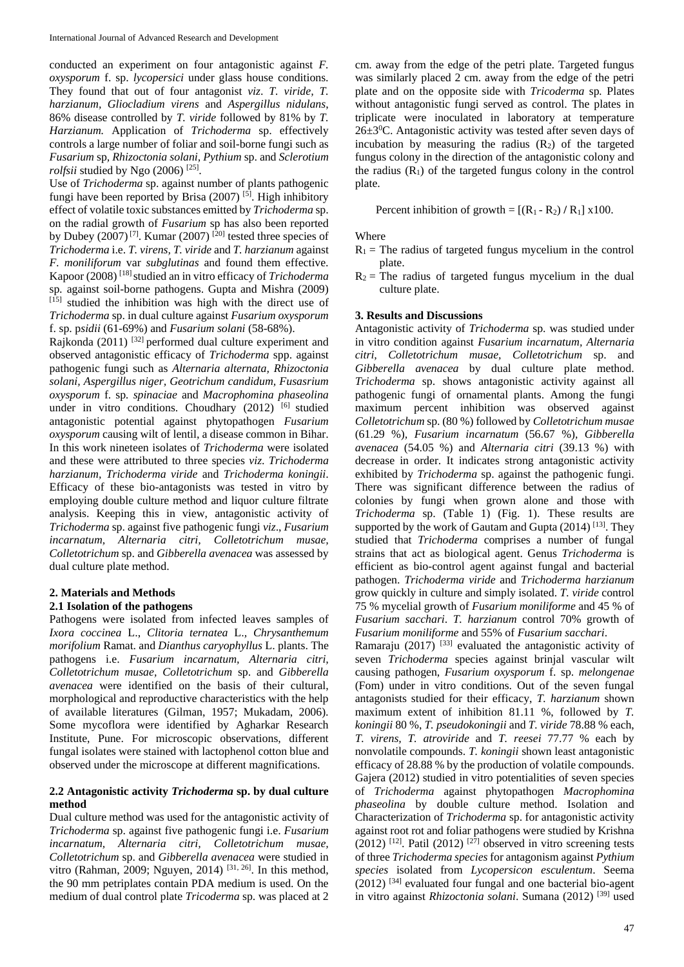conducted an experiment on four antagonistic against *F. oxysporum* f. sp. *lycopersici* under glass house conditions. They found that out of four antagonist *viz*. *T. viride, T. harzianum, Gliocladium virens* and *Aspergillus nidulans*, 86% disease controlled by *T. viride* followed by 81% by *T. Harzianum.* Application of *Trichoderma* sp. effectively controls a large number of foliar and soil-borne fungi such as *Fusarium* sp*, Rhizoctonia solani, Pythium* sp. and *Sclerotium rolfsii* studied by Ngo (2006)<sup>[25]</sup>.

Use of *Trichoderma* sp. against number of plants pathogenic fungi have been reported by Brisa (2007)<sup>[5]</sup>. High inhibitory effect of volatile toxic substances emitted by *Trichoderma* sp. on the radial growth of *Fusarium* sp has also been reported by Dubey (2007)<sup>[7]</sup>. Kumar (2007)<sup>[20]</sup> tested three species of *Trichoderma* i.e. *T. virens, T. viride* and *T. harzianum* against *F. moniliforum* var *subglutinas* and found them effective. Kapoor (2008) [18] studied an in vitro efficacy of *Trichoderma* sp*.* against soil-borne pathogens. Gupta and Mishra (2009) [15] studied the inhibition was high with the direct use of *Trichoderma* sp. in dual culture against *Fusarium oxysporum*  f. sp. p*sidii* (61-69%) and *Fusarium solani* (58-68%).

Rajkonda (2011) [32] performed dual culture experiment and observed antagonistic efficacy of *Trichoderma* spp. against pathogenic fungi such as *Alternaria alternata, Rhizoctonia solani, Aspergillus niger, Geotrichum candidum, Fusasrium oxysporum* f. sp*. spinaciae* and *Macrophomina phaseolina* under in vitro conditions. Choudhary (2012) <sup>[6]</sup> studied antagonistic potential against phytopathogen *Fusarium oxysporum* causing wilt of lentil, a disease common in Bihar. In this work nineteen isolates of *Trichoderma* were isolated and these were attributed to three species *viz*. *Trichoderma harzianum, Trichoderma viride* and *Trichoderma koningii*. Efficacy of these bio-antagonists was tested in vitro by employing double culture method and liquor culture filtrate analysis. Keeping this in view, antagonistic activity of *Trichoderma* sp. against five pathogenic fungi *viz*., *Fusarium incarnatum, Alternaria citri, Colletotrichum musae, Colletotrichum* sp. and *Gibberella avenacea* was assessed by dual culture plate method.

# **2. Materials and Methods**

## **2.1 Isolation of the pathogens**

Pathogens were isolated from infected leaves samples of *Ixora coccinea* L., *Clitoria ternatea* L.*, Chrysanthemum morifolium* Ramat. and *Dianthus caryophyllus* L. plants. The pathogens i.e. *Fusarium incarnatum, Alternaria citri, Colletotrichum musae, Colletotrichum* sp. and *Gibberella avenacea* were identified on the basis of their cultural, morphological and reproductive characteristics with the help of available literatures (Gilman, 1957; Mukadam, 2006). Some mycoflora were identified by Agharkar Research Institute, Pune. For microscopic observations, different fungal isolates were stained with lactophenol cotton blue and observed under the microscope at different magnifications.

#### **2.2 Antagonistic activity** *Trichoderma* **sp. by dual culture method**

Dual culture method was used for the antagonistic activity of *Trichoderma* sp. against five pathogenic fungi i.e. *Fusarium incarnatum, Alternaria citri, Colletotrichum musae, Colletotrichum* sp. and *Gibberella avenacea* were studied in vitro (Rahman, 2009; Nguyen, 2014) <sup>[31, 26]</sup>. In this method, the 90 mm petriplates contain PDA medium is used. On the medium of dual control plate *Tricoderma* sp. was placed at 2 cm. away from the edge of the petri plate. Targeted fungus was similarly placed 2 cm. away from the edge of the petri plate and on the opposite side with *Tricoderma* sp*.* Plates without antagonistic fungi served as control. The plates in triplicate were inoculated in laboratory at temperature  $26\pm3\degree$ C. Antagonistic activity was tested after seven days of incubation by measuring the radius  $(R_2)$  of the targeted fungus colony in the direction of the antagonistic colony and the radius  $(R<sub>1</sub>)$  of the targeted fungus colony in the control plate.

Percent inhibition of growth =  $[(R_1 - R_2) / R_1]$  x100.

**Where** 

- $R_1$  = The radius of targeted fungus mycelium in the control plate.
- $R_2$  = The radius of targeted fungus mycelium in the dual culture plate.

#### **3. Results and Discussions**

Antagonistic activity of *Trichoderma* sp. was studied under in vitro condition against *Fusarium incarnatum, Alternaria citri, Colletotrichum musae, Colletotrichum* sp. and *Gibberella avenacea* by dual culture plate method. *Trichoderma* sp. shows antagonistic activity against all pathogenic fungi of ornamental plants. Among the fungi maximum percent inhibition was observed against *Colletotrichum* sp. (80 %) followed by *Colletotrichum musae* (61.29 %)*, Fusarium incarnatum* (56.67 %)*, Gibberella avenacea* (54.05 %) and *Alternaria citri* (39.13 %) with decrease in order. It indicates strong antagonistic activity exhibited by *Trichoderma* sp. against the pathogenic fungi. There was significant difference between the radius of colonies by fungi when grown alone and those with *Trichoderma* sp. (Table 1) (Fig. 1). These results are supported by the work of Gautam and Gupta  $(2014)$ <sup>[13]</sup>. They studied that *Trichoderma* comprises a number of fungal strains that act as biological agent. Genus *Trichoderma* is efficient as bio-control agent against fungal and bacterial pathogen. *Trichoderma viride* and *Trichoderma harzianum* grow quickly in culture and simply isolated. *T. viride* control 75 % mycelial growth of *Fusarium moniliforme* and 45 % of *Fusarium sacchari*. *T. harzianum* control 70% growth of *Fusarium moniliforme* and 55% of *Fusarium sacchari*.

Ramaraju (2017)  $^{[33]}$  evaluated the antagonistic activity of seven *Trichoderma* species against brinjal vascular wilt causing pathogen, *Fusarium oxysporum* f. sp. *melongenae* (Fom) under in vitro conditions. Out of the seven fungal antagonists studied for their efficacy, *T. harzianum* shown maximum extent of inhibition 81.11 %, followed by *T. koningii* 80 %, *T. pseudokoningii* and *T. viride* 78.88 % each, *T. virens, T. atroviride* and *T. reesei* 77.77 % each by nonvolatile compounds. *T. koningii* shown least antagonistic efficacy of 28.88 % by the production of volatile compounds. Gajera (2012) studied in vitro potentialities of seven species of *Trichoderma* against phytopathogen *Macrophomina phaseolina* by double culture method. Isolation and Characterization of *Trichoderma* sp. for antagonistic activity against root rot and foliar pathogens were studied by Krishna  $(2012)$ <sup>[12]</sup>. Patil (2012)<sup>[27]</sup> observed in vitro screening tests of three *Trichoderma species* for antagonism against *Pythium species* isolated from *Lycopersicon esculentum*. Seema  $(2012)$ <sup>[34]</sup> evaluated four fungal and one bacterial bio-agent in vitro against *Rhizoctonia solani*. Sumana (2012) [39] used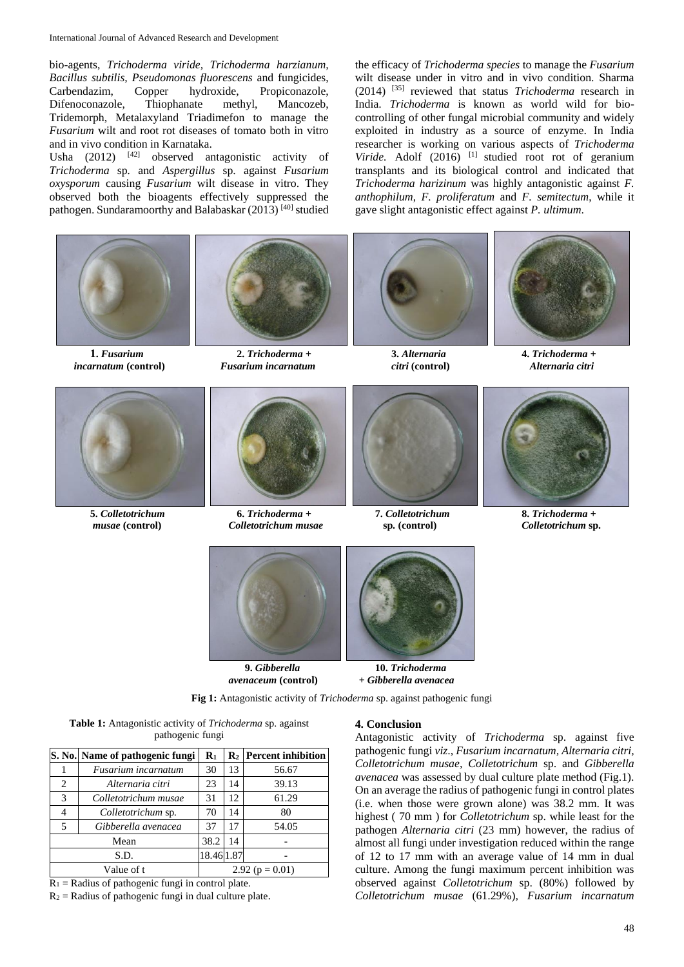bio-agents, *Trichoderma viride, Trichoderma harzianum, Bacillus subtilis, Pseudomonas fluorescens* and fungicides, Carbendazim, Copper hydroxide, Propiconazole, Difenoconazole, Thiophanate methyl, Mancozeb, Tridemorph, Metalaxyland Triadimefon to manage the *Fusarium* wilt and root rot diseases of tomato both in vitro and in vivo condition in Karnataka.

Usha (2012) [42] observed antagonistic activity of *Trichoderma* sp*.* and *Aspergillus* sp. against *Fusarium oxysporum* causing *Fusarium* wilt disease in vitro. They observed both the bioagents effectively suppressed the pathogen. Sundaramoorthy and Balabaskar (2013) [40] studied

the efficacy of *Trichoderma species* to manage the *Fusarium* wilt disease under in vitro and in vivo condition. Sharma (2014) [35] reviewed that status *Trichoderma* research in India. *Trichoderma* is known as world wild for biocontrolling of other fungal microbial community and widely exploited in industry as a source of enzyme. In India researcher is working on various aspects of *Trichoderma Viride.* Adolf (2016) [1] studied root rot of geranium transplants and its biological control and indicated that *Trichoderma harizinum* was highly antagonistic against *F. anthophilum*, *F. proliferatum* and *F. semitectum*, while it gave slight antagonistic effect against *P. ultimum*.









**5.** *Colletotrichum* **6.** *Trichoderma +* **7.** *Colletotrichum* **8.** *Trichoderma + musae* **(control)** *Colletotrichum musae* **sp***.* **(control)** *Colletotrichum* **sp.**











*avenaceum* **(control)** *+ Gibberella avenacea*



**Fig 1:** Antagonistic activity of *Trichoderma* sp. against pathogenic fungi

**Table 1:** Antagonistic activity of *Trichoderma* sp. against pathogenic fungi

|            | S. No. Name of pathogenic fungi | $\mathbf{R}_1$      |    | $R_2$ Percent inhibition |
|------------|---------------------------------|---------------------|----|--------------------------|
|            | Fusarium incarnatum             | 30                  | 13 | 56.67                    |
| 2          | Alternaria citri                | 23                  | 14 | 39.13                    |
| 3          | Colletotrichum musae            | 31                  | 12 | 61.29                    |
|            | Colletotrichum sp.              | 70                  | 14 | 80                       |
| 5          | Gibberella avenacea             | 37                  | 17 | 54.05                    |
| Mean       |                                 | 38.2                | 14 |                          |
| S.D.       |                                 | 18.46 1.87          |    |                          |
| Value of t |                                 | 2.92 ( $p = 0.01$ ) |    |                          |

 $R_1$  = Radius of pathogenic fungi in control plate.

 $R_2$  = Radius of pathogenic fungi in dual culture plate.

#### **4. Conclusion**

Antagonistic activity of *Trichoderma* sp. against five pathogenic fungi *viz*., *Fusarium incarnatum, Alternaria citri, Colletotrichum musae, Colletotrichum* sp. and *Gibberella avenacea* was assessed by dual culture plate method (Fig.1). On an average the radius of pathogenic fungi in control plates (i.e. when those were grown alone) was 38.2 mm. It was highest ( 70 mm ) for *Colletotrichum* sp. while least for the pathogen *Alternaria citri* (23 mm) however, the radius of almost all fungi under investigation reduced within the range of 12 to 17 mm with an average value of 14 mm in dual culture. Among the fungi maximum percent inhibition was observed against *Colletotrichum* sp. (80%) followed by *Colletotrichum musae* (61.29%)*, Fusarium incarnatum*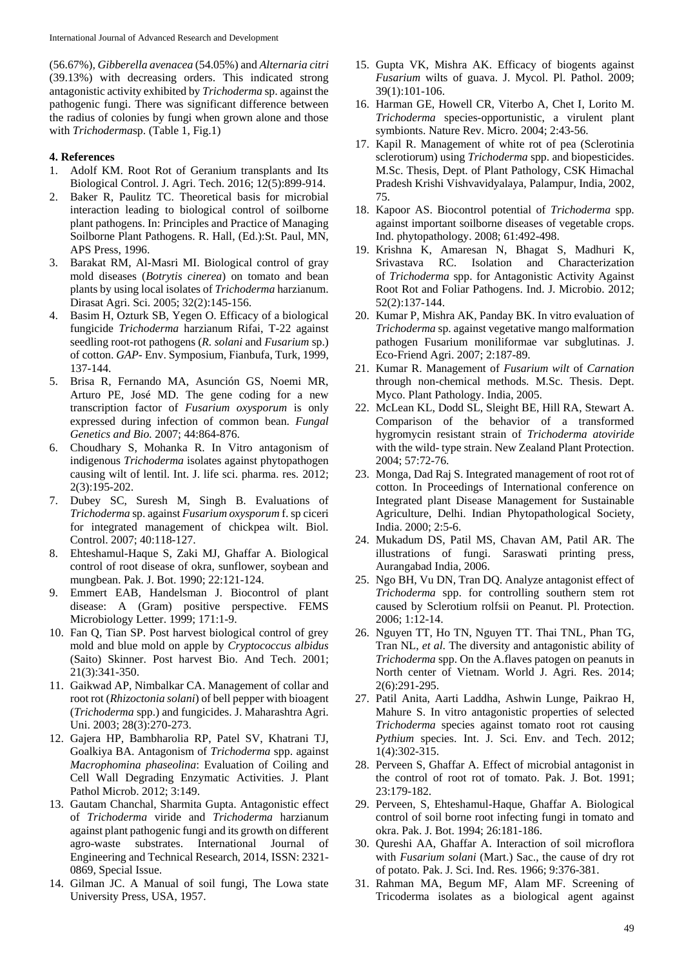(56.67%)*, Gibberella avenacea* (54.05%) and *Alternaria citri* (39.13%) with decreasing orders. This indicated strong antagonistic activity exhibited by *Trichoderma* sp. against the pathogenic fungi. There was significant difference between the radius of colonies by fungi when grown alone and those with *Trichoderma*sp. (Table 1, Fig.1)

## **4. References**

- 1. Adolf KM. Root Rot of Geranium transplants and Its Biological Control. J. Agri. Tech. 2016; 12(5):899-914.
- 2. Baker R, Paulitz TC. Theoretical basis for microbial interaction leading to biological control of soilborne plant pathogens. In: Principles and Practice of Managing Soilborne Plant Pathogens. R. Hall, (Ed.):St. Paul, MN, APS Press, 1996.
- 3. Barakat RM, Al-Masri MI. Biological control of gray mold diseases (*Botrytis cinerea*) on tomato and bean plants by using local isolates of *Trichoderma* harzianum. Dirasat Agri. Sci. 2005; 32(2):145-156.
- Basim H, Ozturk SB, Yegen O. Efficacy of a biological fungicide *Trichoderma* harzianum Rifai, T-22 against seedling root-rot pathogens (*R. solani* and *Fusarium* sp.) of cotton. *GAP-* Env. Symposium, Fianbufa, Turk, 1999, 137-144.
- 5. Brisa R, Fernando MA, Asunción GS, Noemi MR, Arturo PE, José MD. The gene coding for a new transcription factor of *Fusarium oxysporum* is only expressed during infection of common bean. *Fungal Genetics and Bio.* 2007; 44:864-876.
- 6. Choudhary S, Mohanka R. In Vitro antagonism of indigenous *Trichoderma* isolates against phytopathogen causing wilt of lentil. Int. J. life sci. pharma. res. 2012; 2(3):195-202.
- 7. Dubey SC, Suresh M, Singh B. Evaluations of *Trichoderma* sp. against *Fusarium oxysporum* f. sp ciceri for integrated management of chickpea wilt. Biol. Control. 2007; 40:118-127.
- 8. Ehteshamul-Haque S, Zaki MJ, Ghaffar A. Biological control of root disease of okra, sunflower, soybean and mungbean. Pak. J. Bot. 1990; 22:121-124.
- 9. Emmert EAB, Handelsman J. Biocontrol of plant disease: A (Gram) positive perspective. FEMS Microbiology Letter. 1999; 171:1-9.
- 10. Fan Q, Tian SP. Post harvest biological control of grey mold and blue mold on apple by *Cryptococcus albidus*  (Saito) Skinner. Post harvest Bio. And Tech. 2001; 21(3):341-350.
- 11. Gaikwad AP, Nimbalkar CA. Management of collar and root rot (*Rhizoctonia solani*) of bell pepper with bioagent (*Trichoderma* spp.) and fungicides. J. Maharashtra Agri. Uni. 2003; 28(3):270-273.
- 12. Gajera HP, Bambharolia RP, Patel SV, Khatrani TJ, Goalkiya BA. Antagonism of *Trichoderma* spp. against *Macrophomina phaseolina*: Evaluation of Coiling and Cell Wall Degrading Enzymatic Activities. J. Plant Pathol Microb. 2012; 3:149.
- 13. Gautam Chanchal, Sharmita Gupta. Antagonistic effect of *Trichoderma* viride and *Trichoderma* harzianum against plant pathogenic fungi and its growth on different agro-waste substrates. International Journal of Engineering and Technical Research, 2014, ISSN: 2321- 0869, Special Issue.
- 14. Gilman JC. A Manual of soil fungi, The Lowa state University Press, USA, 1957.
- 15. Gupta VK, Mishra AK. Efficacy of biogents against *Fusarium* wilts of guava. J. Mycol. Pl. Pathol. 2009; 39(1):101-106.
- 16. Harman GE, Howell CR, Viterbo A, Chet I, Lorito M. *Trichoderma* species-opportunistic, a virulent plant symbionts. Nature Rev. Micro. 2004; 2:43-56.
- 17. Kapil R. Management of white rot of pea (Sclerotinia sclerotiorum) using *Trichoderma* spp. and biopesticides. M.Sc. Thesis, Dept. of Plant Pathology, CSK Himachal Pradesh Krishi Vishvavidyalaya, Palampur, India, 2002, 75.
- 18. Kapoor AS. Biocontrol potential of *Trichoderma* spp. against important soilborne diseases of vegetable crops. Ind. phytopathology. 2008; 61:492-498.
- 19. Krishna K, Amaresan N, Bhagat S, Madhuri K, Srivastava RC. Isolation and Characterization of *Trichoderma* spp. for Antagonistic Activity Against Root Rot and Foliar Pathogens. Ind. J. Microbio. 2012; 52(2):137-144.
- 20. Kumar P, Mishra AK, Panday BK. In vitro evaluation of *Trichoderma* sp. against vegetative mango malformation pathogen Fusarium moniliformae var subglutinas. J. Eco-Friend Agri. 2007; 2:187-89.
- 21. Kumar R. Management of *Fusarium wilt* of *Carnation* through non-chemical methods. M.Sc. Thesis. Dept. Myco. Plant Pathology. India, 2005.
- 22. McLean KL, Dodd SL, Sleight BE, Hill RA, Stewart A. Comparison of the behavior of a transformed hygromycin resistant strain of *Trichoderma atoviride* with the wild- type strain. New Zealand Plant Protection. 2004; 57:72-76.
- 23. Monga, Dad Raj S. Integrated management of root rot of cotton. In Proceedings of International conference on Integrated plant Disease Management for Sustainable Agriculture, Delhi. Indian Phytopathological Society, India. 2000; 2:5-6.
- 24. Mukadum DS, Patil MS, Chavan AM, Patil AR. The illustrations of fungi. Saraswati printing press, Aurangabad India, 2006.
- 25. Ngo BH, Vu DN, Tran DQ. Analyze antagonist effect of *Trichoderma* spp. for controlling southern stem rot caused by Sclerotium rolfsii on Peanut. Pl. Protection. 2006; 1:12-14.
- 26. Nguyen TT, Ho TN, Nguyen TT. Thai TNL, Phan TG, Tran NL, *et al*. The diversity and antagonistic ability of *Trichoderma* spp. On the A.flaves patogen on peanuts in North center of Vietnam. World J. Agri. Res. 2014; 2(6):291-295.
- 27. Patil Anita, Aarti Laddha, Ashwin Lunge, Paikrao H, Mahure S. In vitro antagonistic properties of selected *Trichoderma* species against tomato root rot causing *Pythium* species. Int. J. Sci. Env. and Tech. 2012; 1(4):302-315.
- 28. Perveen S, Ghaffar A. Effect of microbial antagonist in the control of root rot of tomato. Pak. J. Bot. 1991; 23:179-182.
- 29. Perveen, S, Ehteshamul-Haque, Ghaffar A. Biological control of soil borne root infecting fungi in tomato and okra. Pak. J. Bot. 1994; 26:181-186.
- 30. Qureshi AA, Ghaffar A. Interaction of soil microflora with *Fusarium solani* (Mart.) Sac., the cause of dry rot of potato. Pak. J. Sci. Ind. Res. 1966; 9:376-381.
- 31. Rahman MA, Begum MF, Alam MF. Screening of Tricoderma isolates as a biological agent against